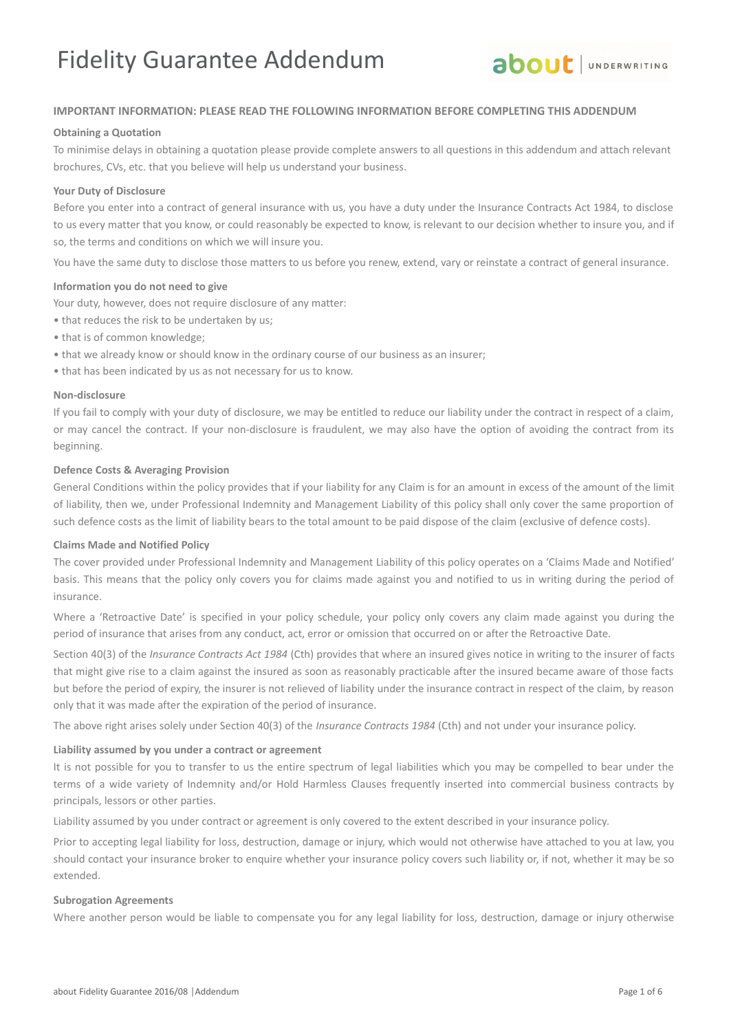

### **IMPORTANT INFORMATION: PLEASE READ THE FOLLOWING INFORMATION BEFORE COMPLETING THIS ADDENDUM**

#### **Obtaining a Quotation**

To minimise delays in obtaining a quotation please provide complete answers to all questions in this addendum and attach relevant brochures, CVs, etc. that you believe will help us understand your business.

#### **Your Duty of Disclosure**

Before you enter into a contract of general insurance with us, you have a duty under the Insurance Contracts Act 1984, to disclose to us every matter that you know, or could reasonably be expected to know, is relevant to our decision whether to insure you, and if so, the terms and conditions on which we will insure you.

You have the same duty to disclose those matters to us before you renew, extend, vary or reinstate a contract of general insurance.

#### **Information you do not need to give**

Your duty, however, does not require disclosure of any matter:

- that reduces the risk to be undertaken by us;
- that is of common knowledge;
- that we already know or should know in the ordinary course of our business as an insurer;
- that has been indicated by us as not necessary for us to know.

#### **Non-disclosure**

If you fail to comply with your duty of disclosure, we may be entitled to reduce our liability under the contract in respect of a claim, or may cancel the contract. If your non-disclosure is fraudulent, we may also have the option of avoiding the contract from its beginning.

#### **Defence Costs & Averaging Provision**

General Conditions within the policy provides that if your liability for any Claim is for an amount in excess of the amount of the limit of liability, then we, under Professional Indemnity and Management Liability of this policy shall only cover the same proportion of such defence costs as the limit of liability bears to the total amount to be paid dispose of the claim (exclusive of defence costs).

#### **Claims Made and Notified Policy**

The cover provided under Professional Indemnity and Management Liability of this policy operates on a 'Claims Made and Notified' basis. This means that the policy only covers you for claims made against you and notified to us in writing during the period of insurance.

Where a 'Retroactive Date' is specified in your policy schedule, your policy only covers any claim made against you during the period of insurance that arises from any conduct, act, error or omission that occurred on or after the Retroactive Date.

Section 40(3) of the *Insurance Contracts Act 1984* (Cth) provides that where an insured gives notice in writing to the insurer of facts that might give rise to a claim against the insured as soon as reasonably practicable after the insured became aware of those facts but before the period of expiry, the insurer is not relieved of liability under the insurance contract in respect of the claim, by reason only that it was made after the expiration of the period of insurance.

The above right arises solely under Section 40(3) of the *Insurance Contracts 1984* (Cth) and not under your insurance policy.

#### **Liability assumed by you under a contract or agreement**

It is not possible for you to transfer to us the entire spectrum of legal liabilities which you may be compelled to bear under the terms of a wide variety of Indemnity and/or Hold Harmless Clauses frequently inserted into commercial business contracts by principals, lessors or other parties.

Liability assumed by you under contract or agreement is only covered to the extent described in your insurance policy.

Prior to accepting legal liability for loss, destruction, damage or injury, which would not otherwise have attached to you at law, you should contact your insurance broker to enquire whether your insurance policy covers such liability or, if not, whether it may be so extended.

#### **Subrogation Agreements**

Where another person would be liable to compensate you for any legal liability for loss, destruction, damage or injury otherwise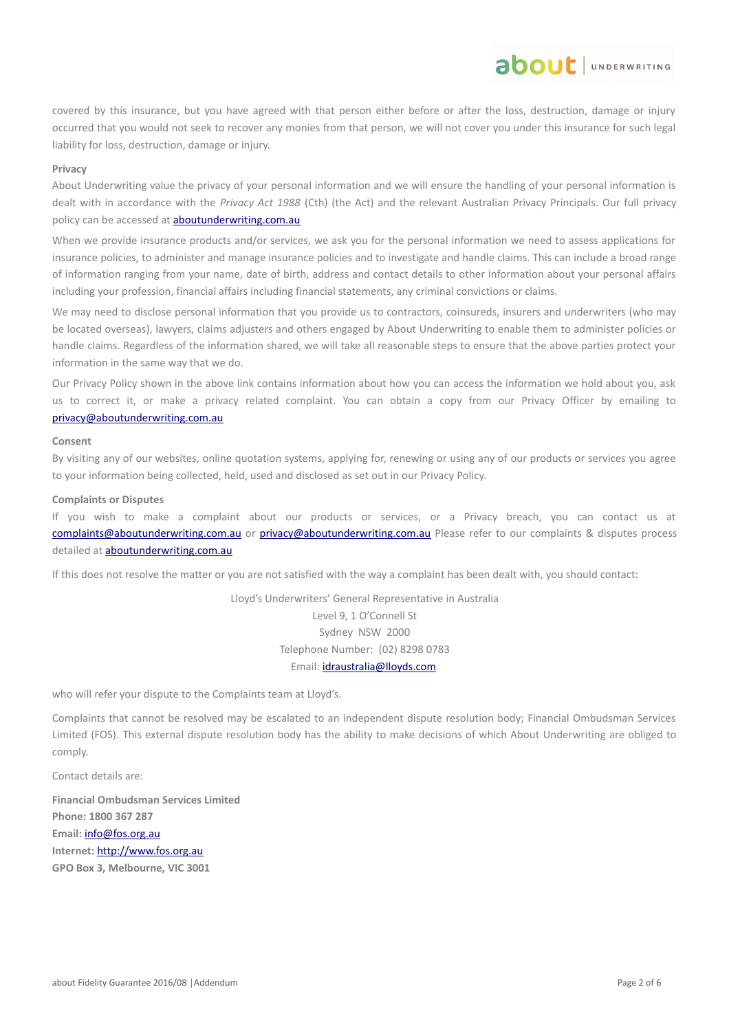covered by this insurance, but you have agreed with that person either before or after the loss, destruction, damage or injury occurred that you would not seek to recover any monies from that person, we will not cover you under this insurance for such legal liability for loss, destruction, damage or injury.

about JUNDERWRITING

#### **Privacy**

About Underwriting value the privacy of your personal information and we will ensure the handling of your personal information is dealt with in accordance with the *Privacy Act 1988* (Cth) (the Act) and the relevant Australian Privacy Principals. Our full privacy policy can be accessed at **aboutunderwriting.com.au** 

When we provide insurance products and/or services, we ask you for the personal information we need to assess applications for insurance policies, to administer and manage insurance policies and to investigate and handle claims. This can include a broad range of information ranging from your name, date of birth, address and contact details to other information about your personal affairs including your profession, financial affairs including financial statements, any criminal convictions or claims.

We may need to disclose personal information that you provide us to contractors, coinsureds, insurers and underwriters (who may be located overseas), lawyers, claims adjusters and others engaged by About Underwriting to enable them to administer policies or handle claims. Regardless of the information shared, we will take all reasonable steps to ensure that the above parties protect your information in the same way that we do.

Our Privacy Policy shown in the above link contains information about how you can access the information we hold about you, ask us to correct it, or make a privacy related complaint. You can obtain a copy from our Privacy Officer by emailing to [privacy@aboutunderwriting.com.au](mailto:privacy@aboutunderwriting.com.au)

#### **Consent**

By visiting any of our websites, online quotation systems, applying for, renewing or using any of our products or services you agree to your information being collected, held, used and disclosed as set out in our Privacy Policy.

#### **Complaints or Disputes**

If you wish to make a complaint about our products or services, or a Privacy breach, you can contact us at [complaints@aboutunderwriting.com.au](mailto:complaints@aboutunderwriting.com.au) or [privacy@aboutunderwriting.com.au](mailto:privacy@aboutunderwriting.com.au) Please refer to our complaints & disputes process detailed at **aboutunderwriting.com.au** 

If this does not resolve the matter or you are not satisfied with the way a complaint has been dealt with, you should contact:

Lloyd's Underwriters' General Representative in Australia Level 9, 1 O'Connell St Sydney NSW 2000 Telephone Number: (02) 8298 0783 Email: [idraustralia@lloyds.com](mailto:idraustralia@lloyds.com)

who will refer your dispute to the Complaints team at Lloyd's.

Complaints that cannot be resolved may be escalated to an independent dispute resolution body; Financial Ombudsman Services Limited (FOS). This external dispute resolution body has the ability to make decisions of which About Underwriting are obliged to comply.

Contact details are:

**Financial Ombudsman Services Limited Phone: 1800 367 287 Email:** [info@fos.org.au](mailto:info@fos.org.au) **Internet:** [http://www.fos.org.au](http://www.fos.org.au/) **GPO Box 3, Melbourne, VIC 3001**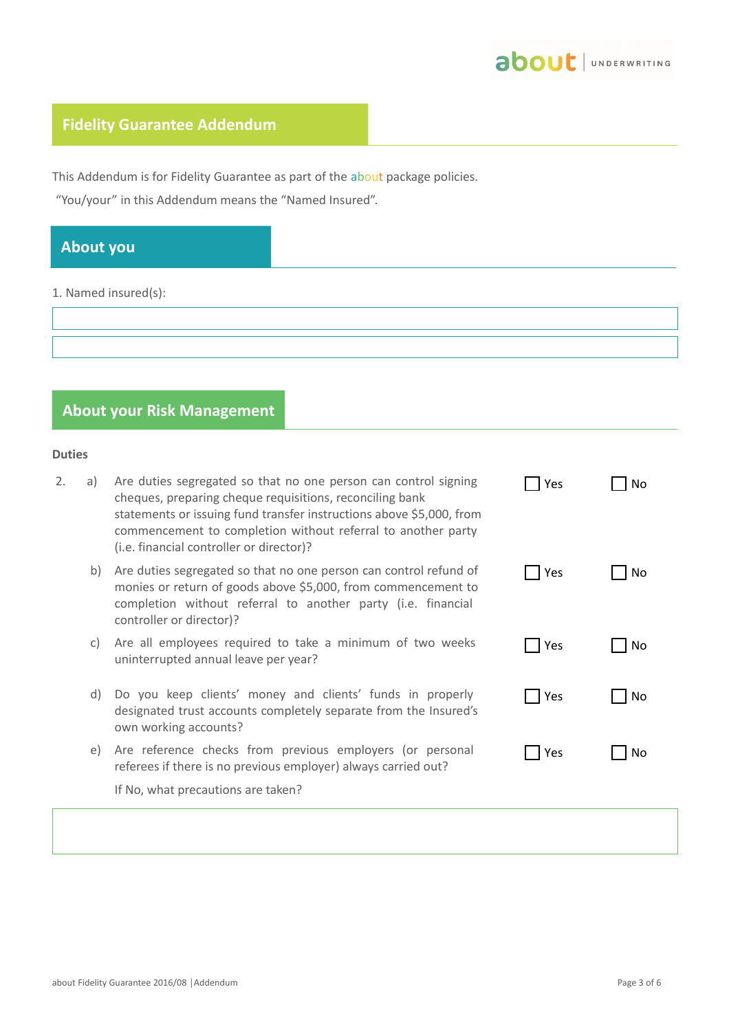

# **Fidelity Guarantee Addendum**

This Addendum is for Fidelity Guarantee as part of the about package policies.

"You/your" in this Addendum means the "Named Insured".

# **About you**

1. Named insured(s):

|  |  | <b>About your Risk Management</b> |  |
|--|--|-----------------------------------|--|
|--|--|-----------------------------------|--|

## **Duties**

| 2. | a) | Are duties segregated so that no one person can control signing<br>cheques, preparing cheque requisitions, reconciling bank<br>statements or issuing fund transfer instructions above \$5,000, from<br>commencement to completion without referral to another party<br>(i.e. financial controller or director)? | Yes | No             |
|----|----|-----------------------------------------------------------------------------------------------------------------------------------------------------------------------------------------------------------------------------------------------------------------------------------------------------------------|-----|----------------|
|    | b) | Are duties segregated so that no one person can control refund of<br>monies or return of goods above \$5,000, from commencement to<br>completion without referral to another party (i.e. financial<br>controller or director)?                                                                                  | Yes | No             |
|    | C) | Are all employees required to take a minimum of two weeks<br>uninterrupted annual leave per year?                                                                                                                                                                                                               | Yes | No             |
|    | d) | Do you keep clients' money and clients' funds in properly<br>designated trust accounts completely separate from the Insured's<br>own working accounts?                                                                                                                                                          | Yes | N <sub>0</sub> |
|    | e) | Are reference checks from previous employers (or personal<br>referees if there is no previous employer) always carried out?                                                                                                                                                                                     | Yes | No             |
|    |    | If No, what precautions are taken?                                                                                                                                                                                                                                                                              |     |                |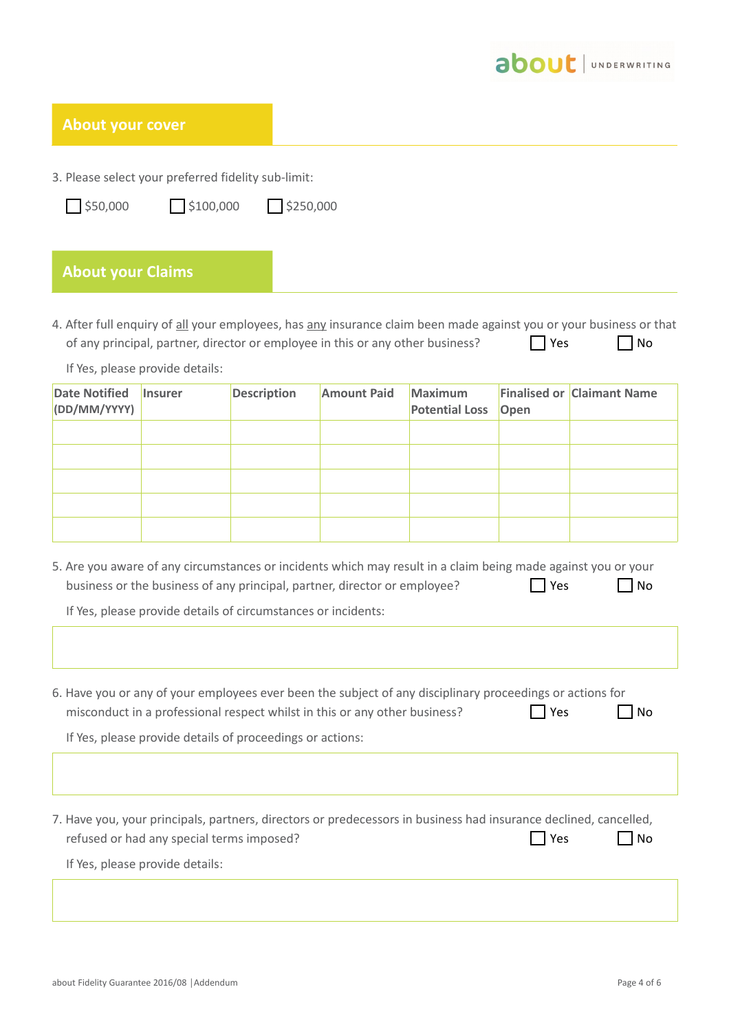

| <b>About your cover</b>              |                                           |                                                               |                                                                                                                                                                                            |                                         |      |                                                                                                                           |
|--------------------------------------|-------------------------------------------|---------------------------------------------------------------|--------------------------------------------------------------------------------------------------------------------------------------------------------------------------------------------|-----------------------------------------|------|---------------------------------------------------------------------------------------------------------------------------|
|                                      |                                           |                                                               |                                                                                                                                                                                            |                                         |      |                                                                                                                           |
|                                      |                                           | 3. Please select your preferred fidelity sub-limit:           |                                                                                                                                                                                            |                                         |      |                                                                                                                           |
| $\frac{1}{2}$ \$50,000               | $\frac{1}{2}$ \$100,000                   | \$250,000                                                     |                                                                                                                                                                                            |                                         |      |                                                                                                                           |
|                                      |                                           |                                                               |                                                                                                                                                                                            |                                         |      |                                                                                                                           |
| <b>About your Claims</b>             |                                           |                                                               |                                                                                                                                                                                            |                                         |      |                                                                                                                           |
|                                      | If Yes, please provide details:           |                                                               | of any principal, partner, director or employee in this or any other business?                                                                                                             |                                         | Yes  | 4. After full enquiry of all your employees, has any insurance claim been made against you or your business or that<br>No |
| <b>Date Notified</b><br>(DD/MM/YYYY) | <b>Insurer</b>                            | <b>Description</b>                                            | <b>Amount Paid</b>                                                                                                                                                                         | <b>Maximum</b><br><b>Potential Loss</b> | Open | <b>Finalised or Claimant Name</b>                                                                                         |
|                                      |                                           |                                                               |                                                                                                                                                                                            |                                         |      |                                                                                                                           |
|                                      |                                           |                                                               |                                                                                                                                                                                            |                                         |      |                                                                                                                           |
|                                      |                                           |                                                               |                                                                                                                                                                                            |                                         |      |                                                                                                                           |
|                                      |                                           |                                                               |                                                                                                                                                                                            |                                         |      |                                                                                                                           |
|                                      |                                           | If Yes, please provide details of circumstances or incidents: | 5. Are you aware of any circumstances or incidents which may result in a claim being made against you or your<br>business or the business of any principal, partner, director or employee? |                                         | Yes  | No                                                                                                                        |
|                                      |                                           | If Yes, please provide details of proceedings or actions:     | 6. Have you or any of your employees ever been the subject of any disciplinary proceedings or actions for<br>misconduct in a professional respect whilst in this or any other business?    |                                         | Yes  | No                                                                                                                        |
|                                      |                                           |                                                               |                                                                                                                                                                                            |                                         |      |                                                                                                                           |
|                                      | refused or had any special terms imposed? |                                                               | 7. Have you, your principals, partners, directors or predecessors in business had insurance declined, cancelled,                                                                           |                                         | Yes  | No                                                                                                                        |
|                                      | If Yes, please provide details:           |                                                               |                                                                                                                                                                                            |                                         |      |                                                                                                                           |
|                                      |                                           |                                                               |                                                                                                                                                                                            |                                         |      |                                                                                                                           |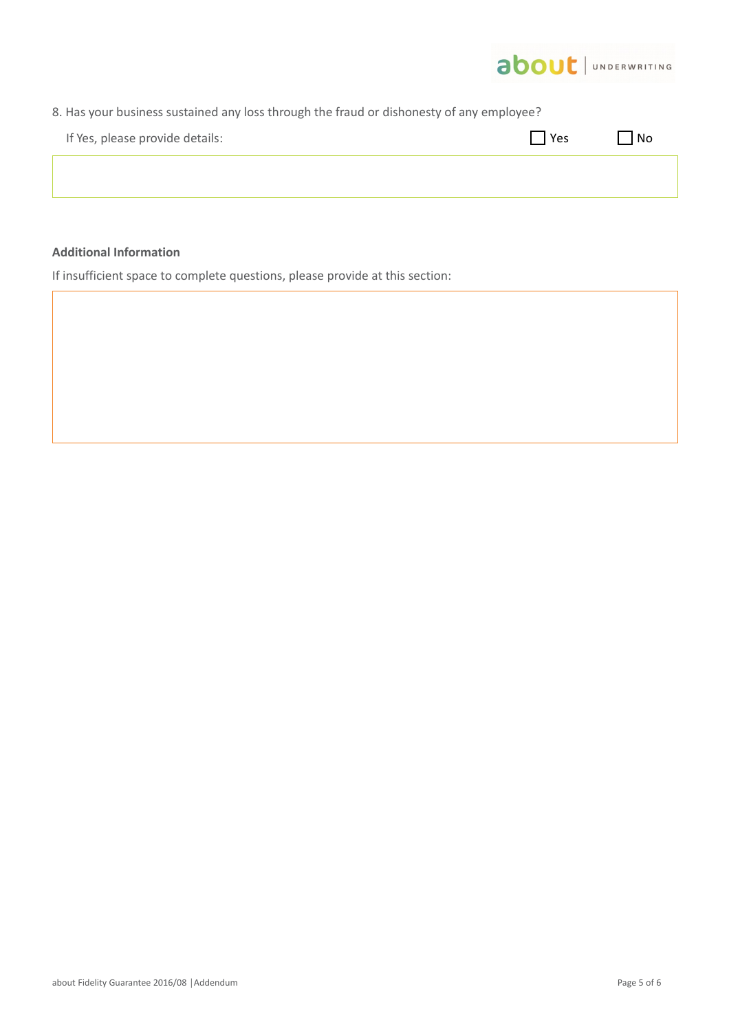

| 8. Has your business sustained any loss through the fraud or dishonesty of any employee? |       |        |  |  |
|------------------------------------------------------------------------------------------|-------|--------|--|--|
| If Yes, please provide details:                                                          | l Yes | $ $ No |  |  |
|                                                                                          |       |        |  |  |
|                                                                                          |       |        |  |  |

# **Additional Information**

If insufficient space to complete questions, please provide at this section: